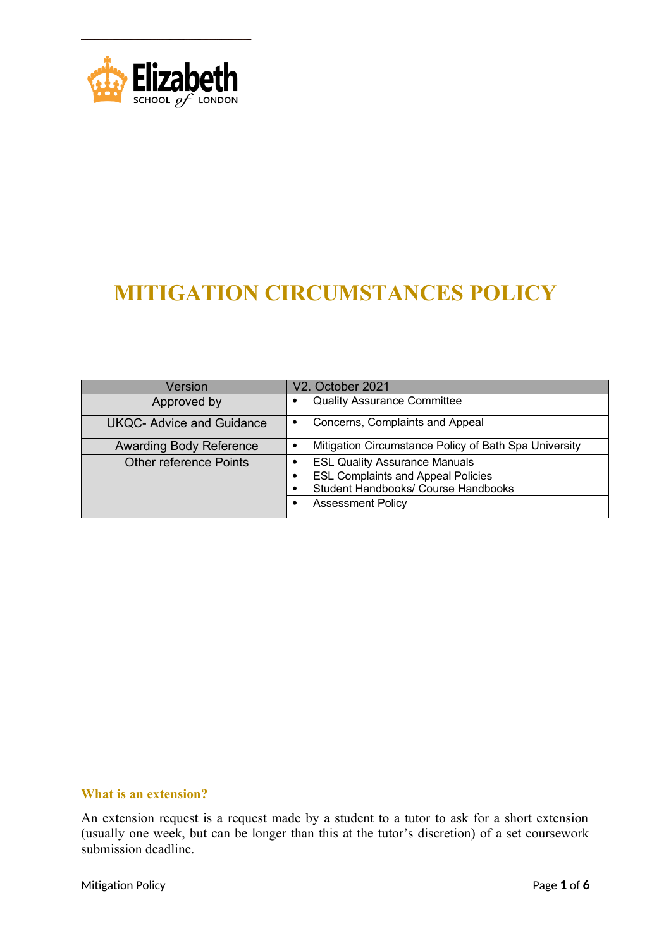

# **MITIGATION CIRCUMSTANCES POLICY**

| Version                         | V2. October 2021                                                                                                                                          |
|---------------------------------|-----------------------------------------------------------------------------------------------------------------------------------------------------------|
| Approved by                     | <b>Quality Assurance Committee</b><br>٠                                                                                                                   |
| <b>UKQC-Advice and Guidance</b> | Concerns, Complaints and Appeal<br>٠                                                                                                                      |
| <b>Awarding Body Reference</b>  | Mitigation Circumstance Policy of Bath Spa University<br>٠                                                                                                |
| Other reference Points          | <b>ESL Quality Assurance Manuals</b><br><b>ESL Complaints and Appeal Policies</b><br>٠<br>Student Handbooks/ Course Handbooks<br><b>Assessment Policy</b> |

## **What is an extension?**

An extension request is a request made by a student to a tutor to ask for a short extension (usually one week, but can be longer than this at the tutor's discretion) of a set coursework submission deadline.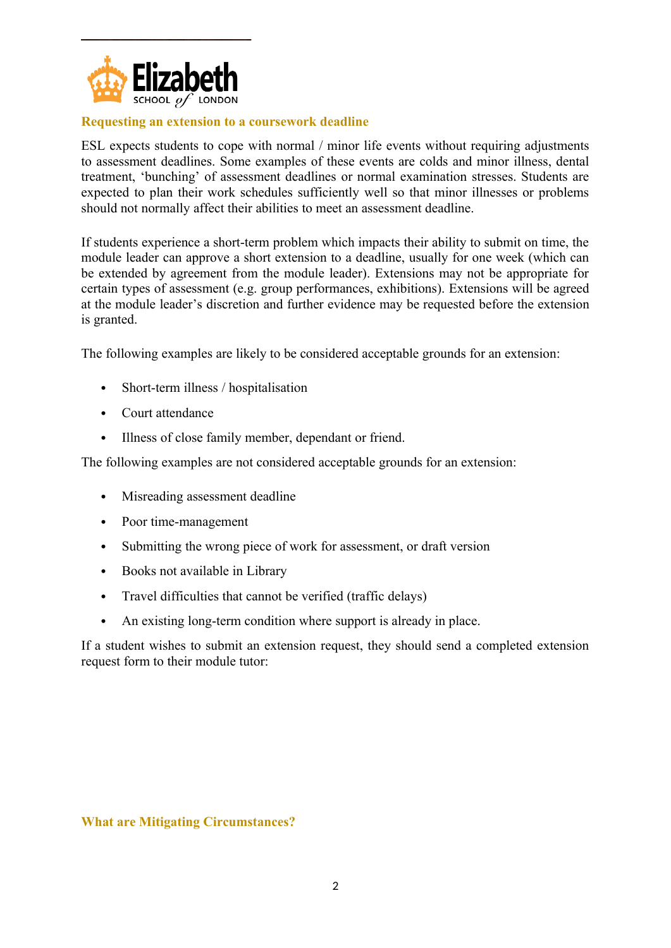

# **Requesting an extension to a coursework deadline**

ESL expects students to cope with normal / minor life events without requiring adjustments to assessment deadlines. Some examples of these events are colds and minor illness, dental treatment, 'bunching' of assessment deadlines or normal examination stresses. Students are expected to plan their work schedules sufficiently well so that minor illnesses or problems should not normally affect their abilities to meet an assessment deadline.

If students experience a short-term problem which impacts their ability to submit on time, the module leader can approve a short extension to a deadline, usually for one week (which can be extended by agreement from the module leader). Extensions may not be appropriate for certain types of assessment (e.g. group performances, exhibitions). Extensions will be agreed at the module leader's discretion and further evidence may be requested before the extension is granted.

The following examples are likely to be considered acceptable grounds for an extension:

- Short-term illness / hospitalisation
- Court attendance
- Illness of close family member, dependant or friend.

The following examples are not considered acceptable grounds for an extension:

- Misreading assessment deadline
- Poor time-management
- Submitting the wrong piece of work for assessment, or draft version
- Books not available in Library
- Travel difficulties that cannot be verified (traffic delays)
- An existing long-term condition where support is already in place.

If a student wishes to submit an extension request, they should send a completed extension request form to their module tutor:

# **What are Mitigating Circumstances?**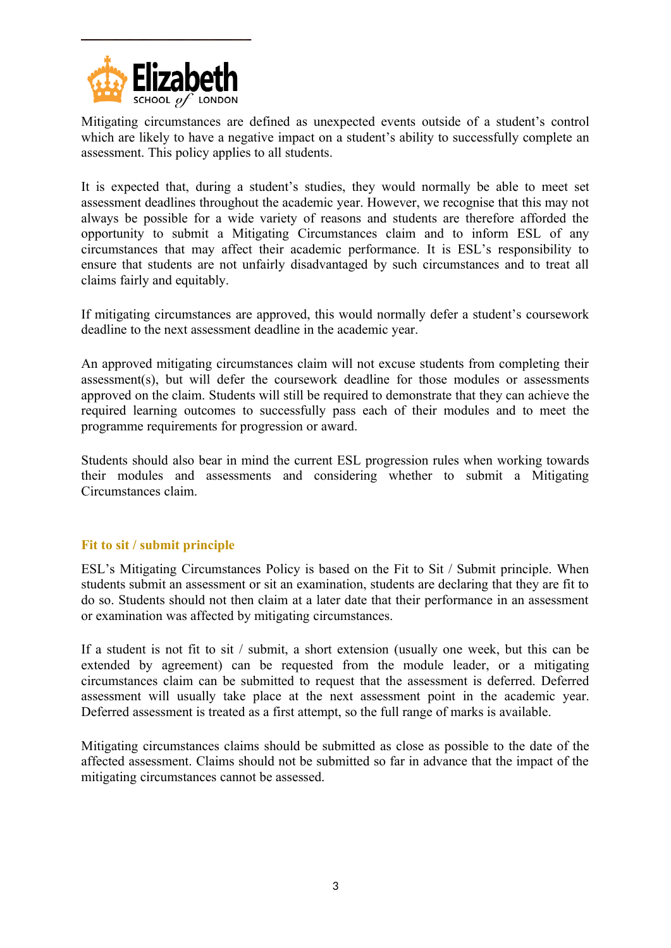

Mitigating circumstances are defined as unexpected events outside of a student's control which are likely to have a negative impact on a student's ability to successfully complete an assessment. This policy applies to all students.

It is expected that, during a student's studies, they would normally be able to meet set assessment deadlines throughout the academic year. However, we recognise that this may not always be possible for a wide variety of reasons and students are therefore afforded the opportunity to submit a Mitigating Circumstances claim and to inform ESL of any circumstances that may affect their academic performance. It is ESL's responsibility to ensure that students are not unfairly disadvantaged by such circumstances and to treat all claims fairly and equitably.

If mitigating circumstances are approved, this would normally defer a student's coursework deadline to the next assessment deadline in the academic year.

An approved mitigating circumstances claim will not excuse students from completing their assessment(s), but will defer the coursework deadline for those modules or assessments approved on the claim. Students will still be required to demonstrate that they can achieve the required learning outcomes to successfully pass each of their modules and to meet the programme requirements for progression or award.

Students should also bear in mind the current ESL progression rules when working towards their modules and assessments and considering whether to submit a Mitigating Circumstances claim.

## **Fit to sit / submit principle**

ESL's Mitigating Circumstances Policy is based on the Fit to Sit / Submit principle. When students submit an assessment or sit an examination, students are declaring that they are fit to do so. Students should not then claim at a later date that their performance in an assessment or examination was affected by mitigating circumstances.

If a student is not fit to sit / submit, a short extension (usually one week, but this can be extended by agreement) can be requested from the module leader, or a mitigating circumstances claim can be submitted to request that the assessment is deferred. Deferred assessment will usually take place at the next assessment point in the academic year. Deferred assessment is treated as a first attempt, so the full range of marks is available.

Mitigating circumstances claims should be submitted as close as possible to the date of the affected assessment. Claims should not be submitted so far in advance that the impact of the mitigating circumstances cannot be assessed.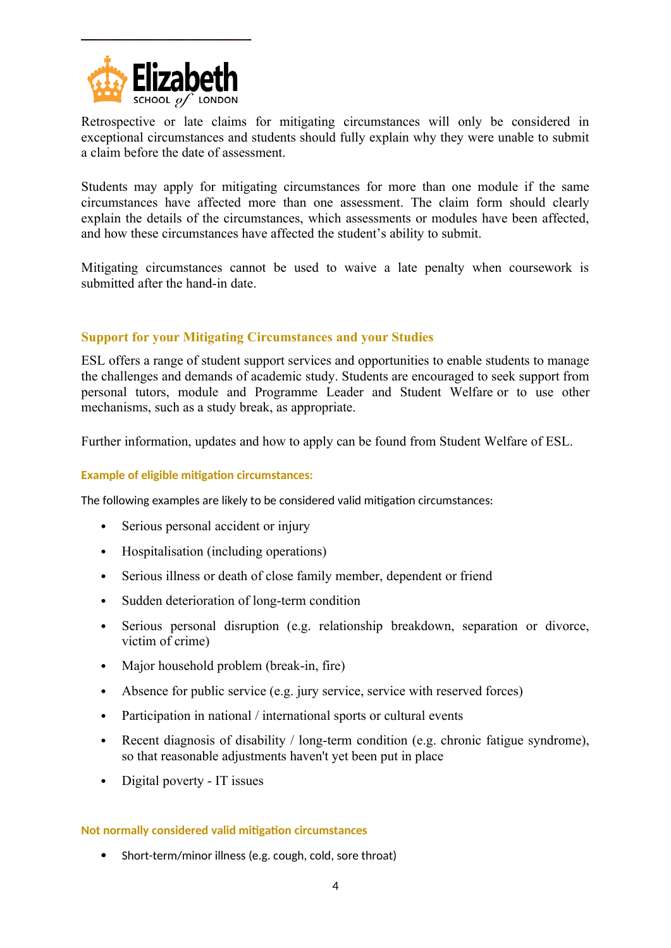

Retrospective or late claims for mitigating circumstances will only be considered in exceptional circumstances and students should fully explain why they were unable to submit a claim before the date of assessment.

Students may apply for mitigating circumstances for more than one module if the same circumstances have affected more than one assessment. The claim form should clearly explain the details of the circumstances, which assessments or modules have been affected, and how these circumstances have affected the student's ability to submit.

Mitigating circumstances cannot be used to waive a late penalty when coursework is submitted after the hand-in date.

# **Support for your Mitigating Circumstances and your Studies**

ESL offers a range of student support services and opportunities to enable students to manage the challenges and demands of academic study. Students are encouraged to seek support from personal tutors, module and Programme Leader and Student Welfare or to use other mechanisms, such as a study break, as appropriate.

Further information, updates and how to apply can be found from Student Welfare of ESL.

#### **Example of eligible mitigation circumstances:**

The following examples are likely to be considered valid mitigation circumstances:

- Serious personal accident or injury
- Hospitalisation (including operations)
- Serious illness or death of close family member, dependent or friend
- Sudden deterioration of long-term condition
- Serious personal disruption (e.g. relationship breakdown, separation or divorce, victim of crime)
- Major household problem (break-in, fire)
- Absence for public service (e.g. jury service, service with reserved forces)
- Participation in national / international sports or cultural events
- Recent diagnosis of disability / long-term condition (e.g. chronic fatigue syndrome), so that reasonable adjustments haven't yet been put in place
- Digital poverty IT issues

#### **Not normally considered valid mitigation circumstances**

Short-term/minor illness (e.g. cough, cold, sore throat)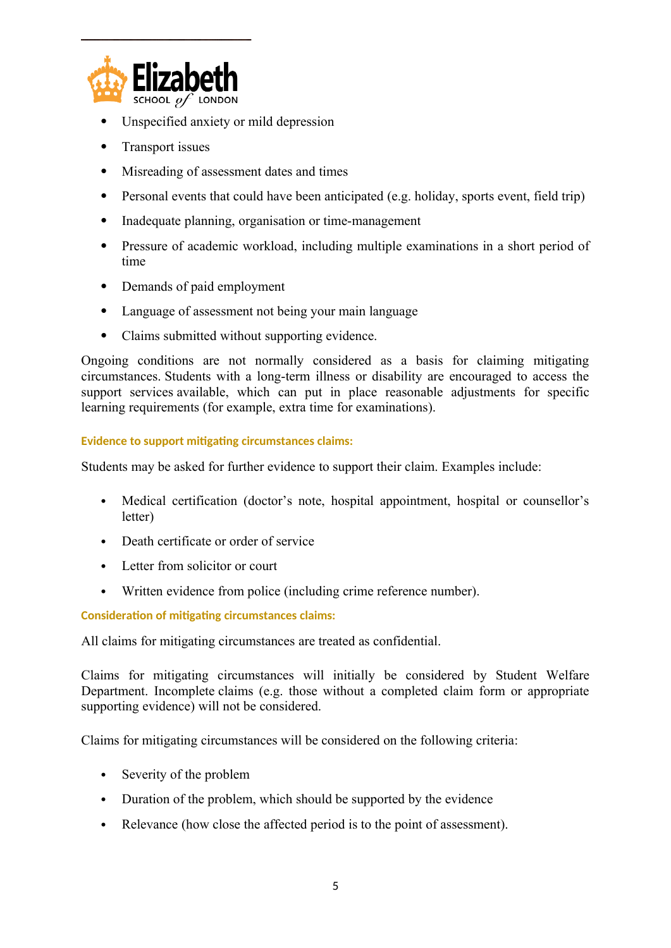

- Unspecified anxiety or mild depression
- Transport issues
- Misreading of assessment dates and times
- Personal events that could have been anticipated (e.g. holiday, sports event, field trip)
- Inadequate planning, organisation or time-management
- Pressure of academic workload, including multiple examinations in a short period of time
- Demands of paid employment
- Language of assessment not being your main language
- Claims submitted without supporting evidence.

Ongoing conditions are not normally considered as a basis for claiming mitigating circumstances. Students with a long-term illness or disability are encouraged to access the support services available, which can put in place reasonable adjustments for specific learning requirements (for example, extra time for examinations).

## **Evidence to support mitigating circumstances claims:**

Students may be asked for further evidence to support their claim. Examples include:

- Medical certification (doctor's note, hospital appointment, hospital or counsellor's letter)
- Death certificate or order of service
- Letter from solicitor or court
- Written evidence from police (including crime reference number).

**Consideration of mitigating circumstances claims:**

All claims for mitigating circumstances are treated as confidential.

Claims for mitigating circumstances will initially be considered by Student Welfare Department. Incomplete claims (e.g. those without a completed claim form or appropriate supporting evidence) will not be considered.

Claims for mitigating circumstances will be considered on the following criteria:

- Severity of the problem
- Duration of the problem, which should be supported by the evidence
- Relevance (how close the affected period is to the point of assessment).